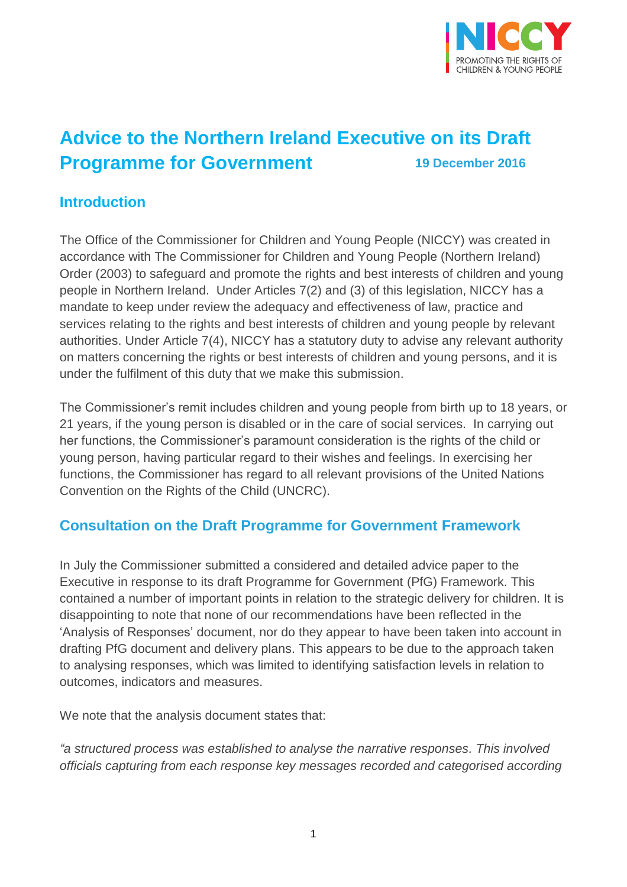

# **Advice to the Northern Ireland Executive on its Draft Programme for Government 19 December <sup>2016</sup>**

### **Introduction**

The Office of the Commissioner for Children and Young People (NICCY) was created in accordance with The Commissioner for Children and Young People (Northern Ireland) Order (2003) to safeguard and promote the rights and best interests of children and young people in Northern Ireland. Under Articles 7(2) and (3) of this legislation, NICCY has a mandate to keep under review the adequacy and effectiveness of law, practice and services relating to the rights and best interests of children and young people by relevant authorities. Under Article 7(4), NICCY has a statutory duty to advise any relevant authority on matters concerning the rights or best interests of children and young persons, and it is under the fulfilment of this duty that we make this submission.

The Commissioner's remit includes children and young people from birth up to 18 years, or 21 years, if the young person is disabled or in the care of social services. In carrying out her functions, the Commissioner's paramount consideration is the rights of the child or young person, having particular regard to their wishes and feelings. In exercising her functions, the Commissioner has regard to all relevant provisions of the United Nations Convention on the Rights of the Child (UNCRC).

### **Consultation on the Draft Programme for Government Framework**

In July the Commissioner submitted a considered and detailed advice paper to the Executive in response to its draft Programme for Government (PfG) Framework. This contained a number of important points in relation to the strategic delivery for children. It is disappointing to note that none of our recommendations have been reflected in the 'Analysis of Responses' document, nor do they appear to have been taken into account in drafting PfG document and delivery plans. This appears to be due to the approach taken to analysing responses, which was limited to identifying satisfaction levels in relation to outcomes, indicators and measures.

We note that the analysis document states that:

*"a structured process was established to analyse the narrative responses. This involved officials capturing from each response key messages recorded and categorised according*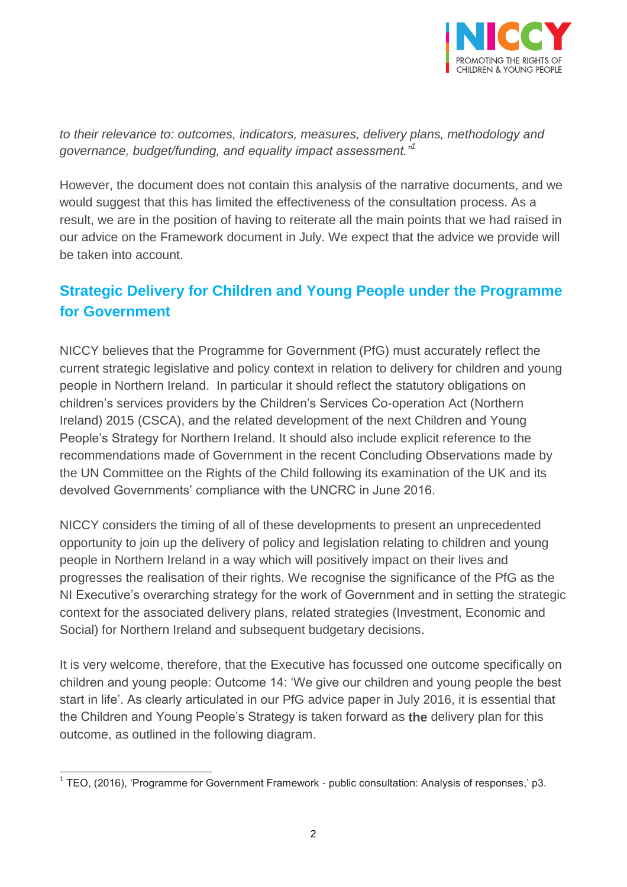

*to their relevance to: outcomes, indicators, measures, delivery plans, methodology and governance, budget/funding, and equality impact assessment."<sup>1</sup>*

However, the document does not contain this analysis of the narrative documents, and we would suggest that this has limited the effectiveness of the consultation process. As a result, we are in the position of having to reiterate all the main points that we had raised in our advice on the Framework document in July. We expect that the advice we provide will be taken into account.

# **Strategic Delivery for Children and Young People under the Programme for Government**

NICCY believes that the Programme for Government (PfG) must accurately reflect the current strategic legislative and policy context in relation to delivery for children and young people in Northern Ireland. In particular it should reflect the statutory obligations on children's services providers by the Children's Services Co-operation Act (Northern Ireland) 2015 (CSCA), and the related development of the next Children and Young People's Strategy for Northern Ireland. It should also include explicit reference to the recommendations made of Government in the recent Concluding Observations made by the UN Committee on the Rights of the Child following its examination of the UK and its devolved Governments' compliance with the UNCRC in June 2016.

NICCY considers the timing of all of these developments to present an unprecedented opportunity to join up the delivery of policy and legislation relating to children and young people in Northern Ireland in a way which will positively impact on their lives and progresses the realisation of their rights. We recognise the significance of the PfG as the NI Executive's overarching strategy for the work of Government and in setting the strategic context for the associated delivery plans, related strategies (Investment, Economic and Social) for Northern Ireland and subsequent budgetary decisions.

It is very welcome, therefore, that the Executive has focussed one outcome specifically on children and young people: Outcome 14: 'We give our children and young people the best start in life'. As clearly articulated in our PfG advice paper in July 2016, it is essential that the Children and Young People's Strategy is taken forward as **the** delivery plan for this outcome, as outlined in the following diagram.

 1 TEO, (2016), 'Programme for Government Framework - public consultation: Analysis of responses,' p3.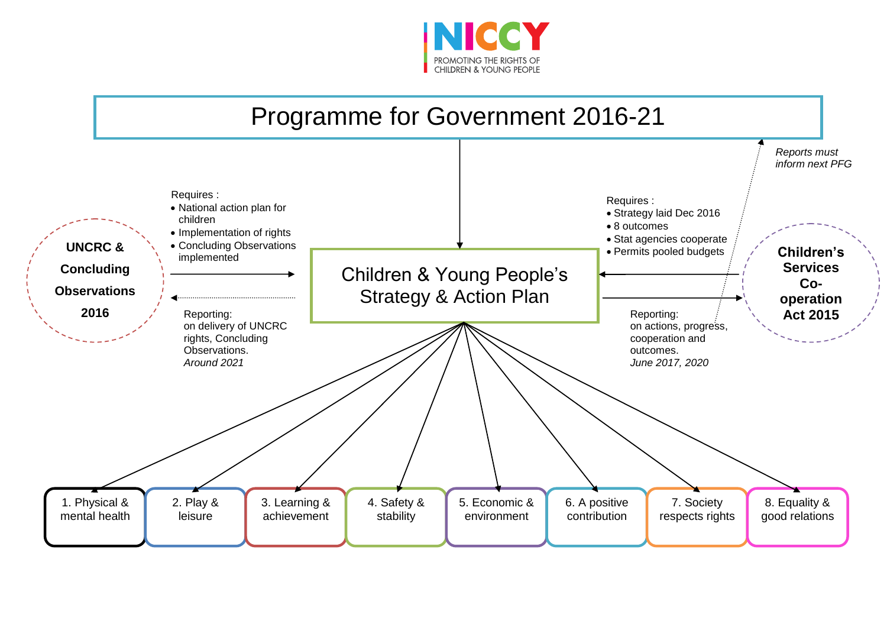

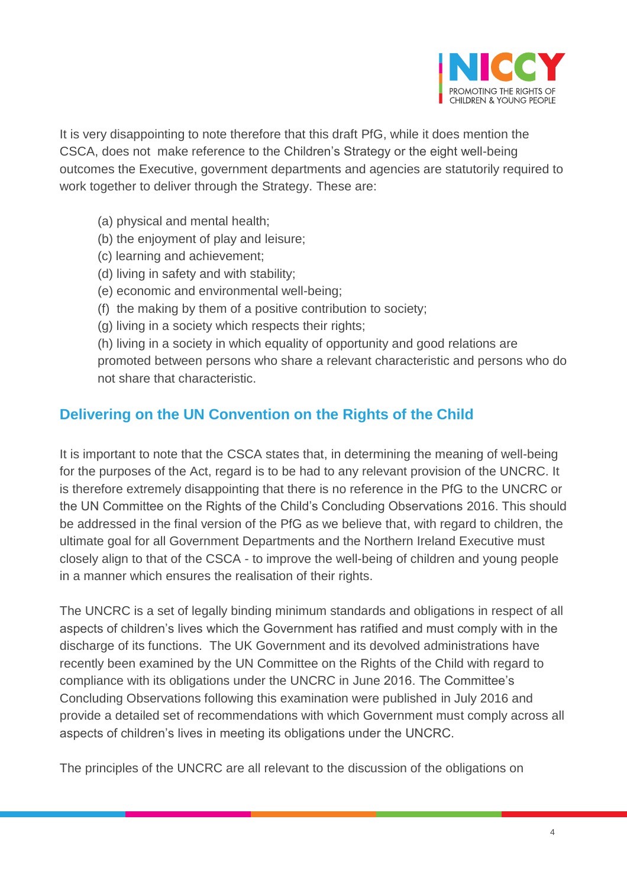

It is very disappointing to note therefore that this draft PfG, while it does mention the CSCA, does not make reference to the Children's Strategy or the eight well-being outcomes the Executive, government departments and agencies are statutorily required to work together to deliver through the Strategy. These are:

- (a) physical and mental health;
- (b) the enjoyment of play and leisure;
- (c) learning and achievement;
- (d) living in safety and with stability;
- (e) economic and environmental well-being;
- (f) the making by them of a positive contribution to society;
- (g) living in a society which respects their rights;

(h) living in a society in which equality of opportunity and good relations are promoted between persons who share a relevant characteristic and persons who do not share that characteristic.

## **Delivering on the UN Convention on the Rights of the Child**

It is important to note that the CSCA states that, in determining the meaning of well-being for the purposes of the Act, regard is to be had to any relevant provision of the UNCRC. It is therefore extremely disappointing that there is no reference in the PfG to the UNCRC or the UN Committee on the Rights of the Child's Concluding Observations 2016. This should be addressed in the final version of the PfG as we believe that, with regard to children, the ultimate goal for all Government Departments and the Northern Ireland Executive must closely align to that of the CSCA - to improve the well-being of children and young people in a manner which ensures the realisation of their rights.

The UNCRC is a set of legally binding minimum standards and obligations in respect of all aspects of children's lives which the Government has ratified and must comply with in the discharge of its functions. The UK Government and its devolved administrations have recently been examined by the UN Committee on the Rights of the Child with regard to compliance with its obligations under the UNCRC in June 2016. The Committee's Concluding Observations following this examination were published in July 2016 and provide a detailed set of recommendations with which Government must comply across all aspects of children's lives in meeting its obligations under the UNCRC.

The principles of the UNCRC are all relevant to the discussion of the obligations on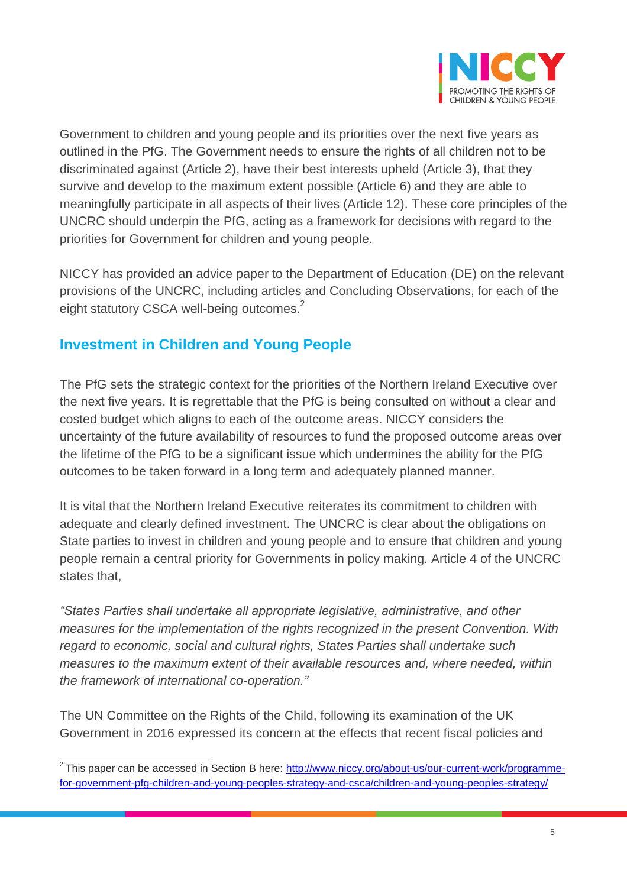

Government to children and young people and its priorities over the next five years as outlined in the PfG. The Government needs to ensure the rights of all children not to be discriminated against (Article 2), have their best interests upheld (Article 3), that they survive and develop to the maximum extent possible (Article 6) and they are able to meaningfully participate in all aspects of their lives (Article 12). These core principles of the UNCRC should underpin the PfG, acting as a framework for decisions with regard to the priorities for Government for children and young people.

NICCY has provided an advice paper to the Department of Education (DE) on the relevant provisions of the UNCRC, including articles and Concluding Observations, for each of the eight statutory CSCA well-being outcomes.<sup>2</sup>

# **Investment in Children and Young People**

The PfG sets the strategic context for the priorities of the Northern Ireland Executive over the next five years. It is regrettable that the PfG is being consulted on without a clear and costed budget which aligns to each of the outcome areas. NICCY considers the uncertainty of the future availability of resources to fund the proposed outcome areas over the lifetime of the PfG to be a significant issue which undermines the ability for the PfG outcomes to be taken forward in a long term and adequately planned manner.

It is vital that the Northern Ireland Executive reiterates its commitment to children with adequate and clearly defined investment. The UNCRC is clear about the obligations on State parties to invest in children and young people and to ensure that children and young people remain a central priority for Governments in policy making. Article 4 of the UNCRC states that,

*"States Parties shall undertake all appropriate legislative, administrative, and other measures for the implementation of the rights recognized in the present Convention. With regard to economic, social and cultural rights, States Parties shall undertake such measures to the maximum extent of their available resources and, where needed, within the framework of international co-operation."*

The UN Committee on the Rights of the Child, following its examination of the UK Government in 2016 expressed its concern at the effects that recent fiscal policies and

 2 This paper can be accessed in Section B here: [http://www.niccy.org/about-us/our-current-work/programme](http://www.niccy.org/about-us/our-current-work/programme-for-government-pfg-children-and-young-peoples-strategy-and-csca/children-and-young-peoples-strategy/)[for-government-pfg-children-and-young-peoples-strategy-and-csca/children-and-young-peoples-strategy/](http://www.niccy.org/about-us/our-current-work/programme-for-government-pfg-children-and-young-peoples-strategy-and-csca/children-and-young-peoples-strategy/)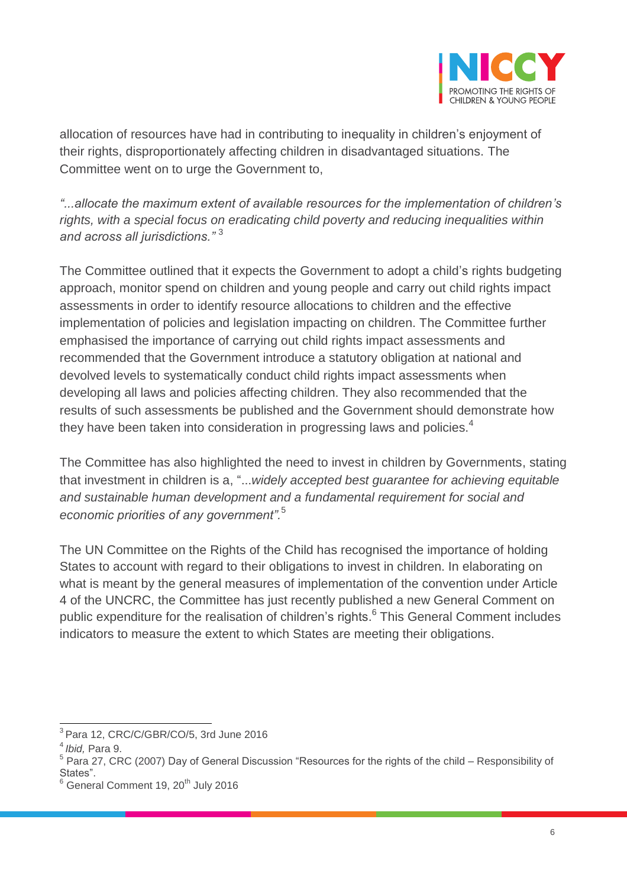

allocation of resources have had in contributing to inequality in children's enjoyment of their rights, disproportionately affecting children in disadvantaged situations. The Committee went on to urge the Government to,

*"...allocate the maximum extent of available resources for the implementation of children's rights, with a special focus on eradicating child poverty and reducing inequalities within and across all jurisdictions."* <sup>3</sup>

The Committee outlined that it expects the Government to adopt a child's rights budgeting approach, monitor spend on children and young people and carry out child rights impact assessments in order to identify resource allocations to children and the effective implementation of policies and legislation impacting on children. The Committee further emphasised the importance of carrying out child rights impact assessments and recommended that the Government introduce a statutory obligation at national and devolved levels to systematically conduct child rights impact assessments when developing all laws and policies affecting children. They also recommended that the results of such assessments be published and the Government should demonstrate how they have been taken into consideration in progressing laws and policies.<sup>4</sup>

The Committee has also highlighted the need to invest in children by Governments, stating that investment in children is a, "...*widely accepted best guarantee for achieving equitable and sustainable human development and a fundamental requirement for social and economic priorities of any government".* 5

The UN Committee on the Rights of the Child has recognised the importance of holding States to account with regard to their obligations to invest in children. In elaborating on what is meant by the general measures of implementation of the convention under Article 4 of the UNCRC, the Committee has just recently published a new General Comment on public expenditure for the realisation of children's rights. 6 This General Comment includes indicators to measure the extent to which States are meeting their obligations.

 3 Para 12, CRC/C/GBR/CO/5, 3rd June 2016

<sup>4</sup> *Ibid,* Para 9.

 $^5$  Para 27, CRC (2007) Day of General Discussion "Resources for the rights of the child – Responsibility of States".

General Comment 19, 20<sup>th</sup> July 2016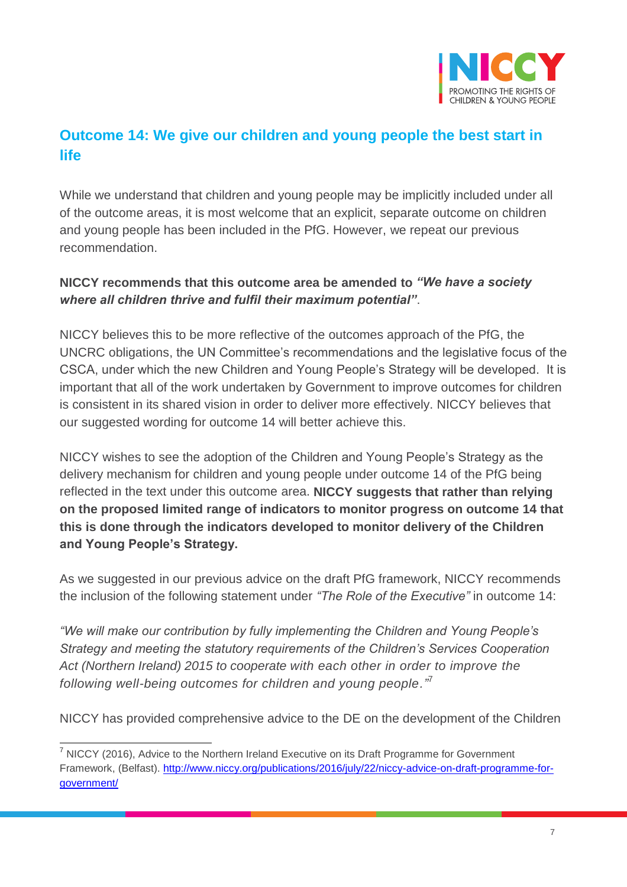

# **Outcome 14: We give our children and young people the best start in life**

While we understand that children and young people may be implicitly included under all of the outcome areas, it is most welcome that an explicit, separate outcome on children and young people has been included in the PfG. However, we repeat our previous recommendation.

#### **NICCY recommends that this outcome area be amended to** *"We have a society where all children thrive and fulfil their maximum potential"*.

NICCY believes this to be more reflective of the outcomes approach of the PfG, the UNCRC obligations, the UN Committee's recommendations and the legislative focus of the CSCA, under which the new Children and Young People's Strategy will be developed. It is important that all of the work undertaken by Government to improve outcomes for children is consistent in its shared vision in order to deliver more effectively. NICCY believes that our suggested wording for outcome 14 will better achieve this.

NICCY wishes to see the adoption of the Children and Young People's Strategy as the delivery mechanism for children and young people under outcome 14 of the PfG being reflected in the text under this outcome area. **NICCY suggests that rather than relying on the proposed limited range of indicators to monitor progress on outcome 14 that this is done through the indicators developed to monitor delivery of the Children and Young People's Strategy.** 

As we suggested in our previous advice on the draft PfG framework, NICCY recommends the inclusion of the following statement under *"The Role of the Executive"* in outcome 14:

*"We will make our contribution by fully implementing the Children and Young People's Strategy and meeting the statutory requirements of the Children's Services Cooperation Act (Northern Ireland) 2015 to cooperate with each other in order to improve the following well-being outcomes for children and young people."* 7

NICCY has provided comprehensive advice to the DE on the development of the Children

 $\overline{a}$ 

 $<sup>7</sup>$  NICCY (2016), Advice to the Northern Ireland Executive on its Draft Programme for Government</sup> Framework, (Belfast). [http://www.niccy.org/publications/2016/july/22/niccy-advice-on-draft-programme-for](http://www.niccy.org/publications/2016/july/22/niccy-advice-on-draft-programme-for-government/)[government/](http://www.niccy.org/publications/2016/july/22/niccy-advice-on-draft-programme-for-government/)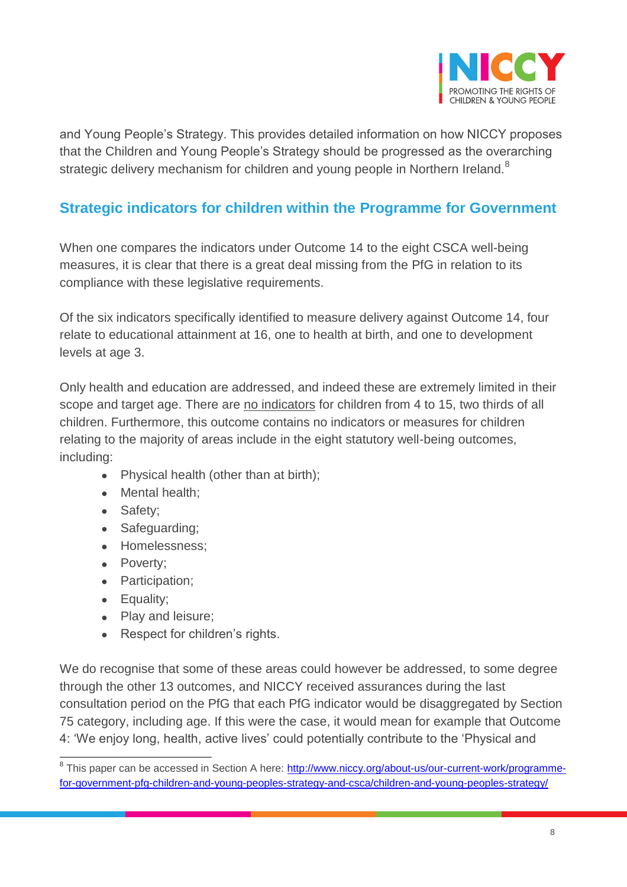

and Young People's Strategy. This provides detailed information on how NICCY proposes that the Children and Young People's Strategy should be progressed as the overarching strategic delivery mechanism for children and young people in Northern Ireland.<sup>8</sup>

# **Strategic indicators for children within the Programme for Government**

When one compares the indicators under Outcome 14 to the eight CSCA well-being measures, it is clear that there is a great deal missing from the PfG in relation to its compliance with these legislative requirements.

Of the six indicators specifically identified to measure delivery against Outcome 14, four relate to educational attainment at 16, one to health at birth, and one to development levels at age 3.

Only health and education are addressed, and indeed these are extremely limited in their scope and target age. There are no indicators for children from 4 to 15, two thirds of all children. Furthermore, this outcome contains no indicators or measures for children relating to the majority of areas include in the eight statutory well-being outcomes, including:

- Physical health (other than at birth);
- Mental health:
- Safety:
- Safeguarding;
- Homelessness:
- Poverty;
- Participation;
- Equality;
- Play and leisure;
- Respect for children's rights.

We do recognise that some of these areas could however be addressed, to some degree through the other 13 outcomes, and NICCY received assurances during the last consultation period on the PfG that each PfG indicator would be disaggregated by Section 75 category, including age. If this were the case, it would mean for example that Outcome 4: 'We enjoy long, health, active lives' could potentially contribute to the 'Physical and

a<br><sup>8</sup> This paper can be accessed in Section A here: <u>http://www.niccy.org/about-us/our-current-work/programme-</u> [for-government-pfg-children-and-young-peoples-strategy-and-csca/children-and-young-peoples-strategy/](http://www.niccy.org/about-us/our-current-work/programme-for-government-pfg-children-and-young-peoples-strategy-and-csca/children-and-young-peoples-strategy/)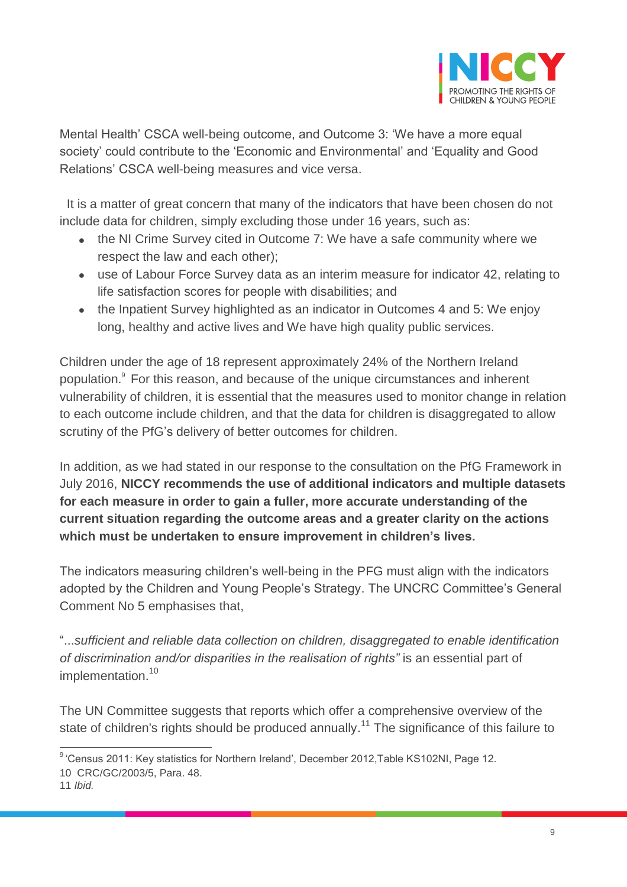

Mental Health' CSCA well-being outcome, and Outcome 3: 'We have a more equal society' could contribute to the 'Economic and Environmental' and 'Equality and Good Relations' CSCA well-being measures and vice versa.

 It is a matter of great concern that many of the indicators that have been chosen do not include data for children, simply excluding those under 16 years, such as:

- the NI Crime Survey cited in Outcome 7: We have a safe community where we respect the law and each other);
- use of Labour Force Survey data as an interim measure for indicator 42, relating to life satisfaction scores for people with disabilities; and
- the Inpatient Survey highlighted as an indicator in Outcomes 4 and 5: We enjoy long, healthy and active lives and We have high quality public services.

Children under the age of 18 represent approximately 24% of the Northern Ireland population.<sup>9</sup> For this reason, and because of the unique circumstances and inherent vulnerability of children, it is essential that the measures used to monitor change in relation to each outcome include children, and that the data for children is disaggregated to allow scrutiny of the PfG's delivery of better outcomes for children.

In addition, as we had stated in our response to the consultation on the PfG Framework in July 2016, **NICCY recommends the use of additional indicators and multiple datasets for each measure in order to gain a fuller, more accurate understanding of the current situation regarding the outcome areas and a greater clarity on the actions which must be undertaken to ensure improvement in children's lives.** 

The indicators measuring children's well-being in the PFG must align with the indicators adopted by the Children and Young People's Strategy. The UNCRC Committee's General Comment No 5 emphasises that,

"...*sufficient and reliable data collection on children, disaggregated to enable identification*  of discrimination and/or disparities in the realisation of rights" is an essential part of implementation.<sup>10</sup>

The UN Committee suggests that reports which offer a comprehensive overview of the state of children's rights should be produced annually.<sup>11</sup> The significance of this failure to

 9 'Census 2011: Key statistics for Northern Ireland', December 2012,Table KS102NI, Page 12.

<sup>10</sup> CRC/GC/2003/5, Para. 48.

<sup>11</sup> *Ibid.*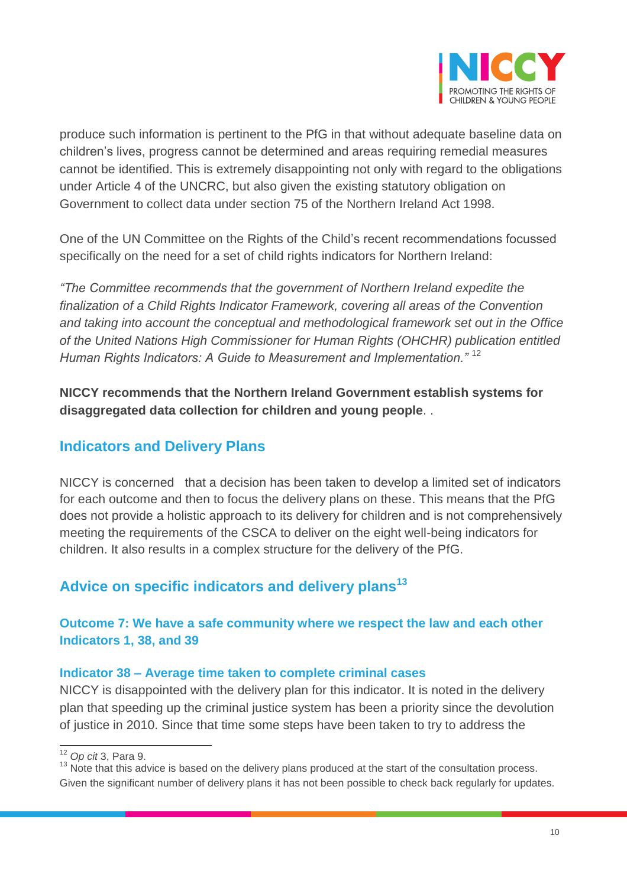

produce such information is pertinent to the PfG in that without adequate baseline data on children's lives, progress cannot be determined and areas requiring remedial measures cannot be identified. This is extremely disappointing not only with regard to the obligations under Article 4 of the UNCRC, but also given the existing statutory obligation on Government to collect data under section 75 of the Northern Ireland Act 1998.

One of the UN Committee on the Rights of the Child's recent recommendations focussed specifically on the need for a set of child rights indicators for Northern Ireland:

*"The Committee recommends that the government of Northern Ireland expedite the finalization of a Child Rights Indicator Framework, covering all areas of the Convention and taking into account the conceptual and methodological framework set out in the Office of the United Nations High Commissioner for Human Rights (OHCHR) publication entitled Human Rights Indicators: A Guide to Measurement and Implementation."* <sup>12</sup>

**NICCY recommends that the Northern Ireland Government establish systems for disaggregated data collection for children and young people**. .

### **Indicators and Delivery Plans**

NICCY is concerned that a decision has been taken to develop a limited set of indicators for each outcome and then to focus the delivery plans on these. This means that the PfG does not provide a holistic approach to its delivery for children and is not comprehensively meeting the requirements of the CSCA to deliver on the eight well-being indicators for children. It also results in a complex structure for the delivery of the PfG.

# **Advice on specific indicators and delivery plans<sup>13</sup>**

#### **Outcome 7: We have a safe community where we respect the law and each other Indicators 1, 38, and 39**

#### **Indicator 38 – Average time taken to complete criminal cases**

NICCY is disappointed with the delivery plan for this indicator. It is noted in the delivery plan that speeding up the criminal justice system has been a priority since the devolution of justice in 2010. Since that time some steps have been taken to try to address the

 $\overline{a}$ <sup>12</sup> *Op cit* 3, Para 9.

<sup>&</sup>lt;sup>13</sup> Note that this advice is based on the delivery plans produced at the start of the consultation process. Given the significant number of delivery plans it has not been possible to check back regularly for updates.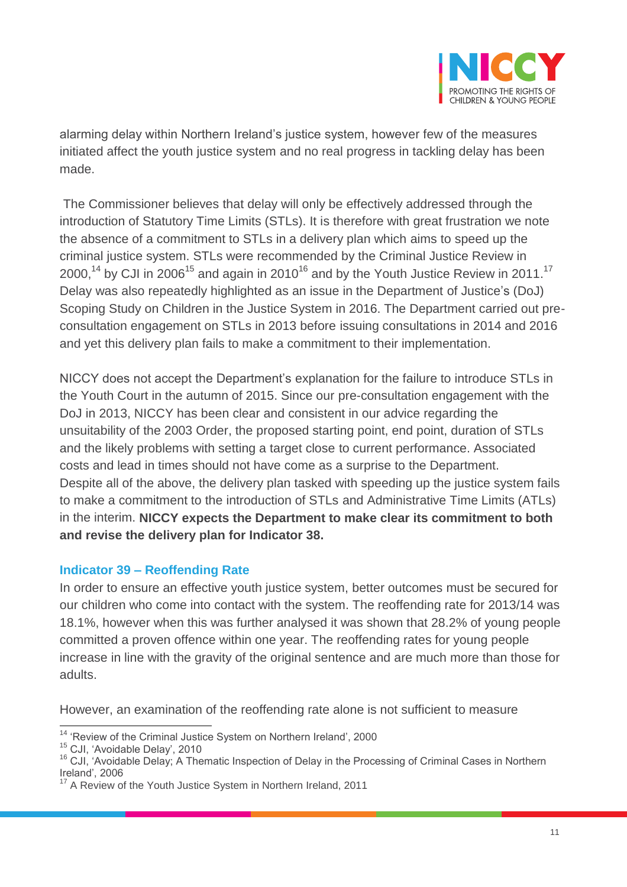

alarming delay within Northern Ireland's justice system, however few of the measures initiated affect the youth justice system and no real progress in tackling delay has been made.

The Commissioner believes that delay will only be effectively addressed through the introduction of Statutory Time Limits (STLs). It is therefore with great frustration we note the absence of a commitment to STLs in a delivery plan which aims to speed up the criminal justice system. STLs were recommended by the Criminal Justice Review in 2000,<sup>14</sup> by CJI in 2006<sup>15</sup> and again in 2010<sup>16</sup> and by the Youth Justice Review in 2011.<sup>17</sup> Delay was also repeatedly highlighted as an issue in the Department of Justice's (DoJ) Scoping Study on Children in the Justice System in 2016. The Department carried out preconsultation engagement on STLs in 2013 before issuing consultations in 2014 and 2016 and yet this delivery plan fails to make a commitment to their implementation.

NICCY does not accept the Department's explanation for the failure to introduce STLs in the Youth Court in the autumn of 2015. Since our pre-consultation engagement with the DoJ in 2013, NICCY has been clear and consistent in our advice regarding the unsuitability of the 2003 Order, the proposed starting point, end point, duration of STLs and the likely problems with setting a target close to current performance. Associated costs and lead in times should not have come as a surprise to the Department. Despite all of the above, the delivery plan tasked with speeding up the justice system fails to make a commitment to the introduction of STLs and Administrative Time Limits (ATLs) in the interim. **NICCY expects the Department to make clear its commitment to both and revise the delivery plan for Indicator 38.**

#### **Indicator 39 – Reoffending Rate**

In order to ensure an effective youth justice system, better outcomes must be secured for our children who come into contact with the system. The reoffending rate for 2013/14 was 18.1%, however when this was further analysed it was shown that 28.2% of young people committed a proven offence within one year. The reoffending rates for young people increase in line with the gravity of the original sentence and are much more than those for adults.

However, an examination of the reoffending rate alone is not sufficient to measure

 $\overline{a}$  $14$  'Review of the Criminal Justice System on Northern Ireland', 2000

<sup>15</sup> CJI, 'Avoidable Delay', 2010

<sup>&</sup>lt;sup>16</sup> CJI, 'Avoidable Delay; A Thematic Inspection of Delay in the Processing of Criminal Cases in Northern Ireland', 2006

A Review of the Youth Justice System in Northern Ireland, 2011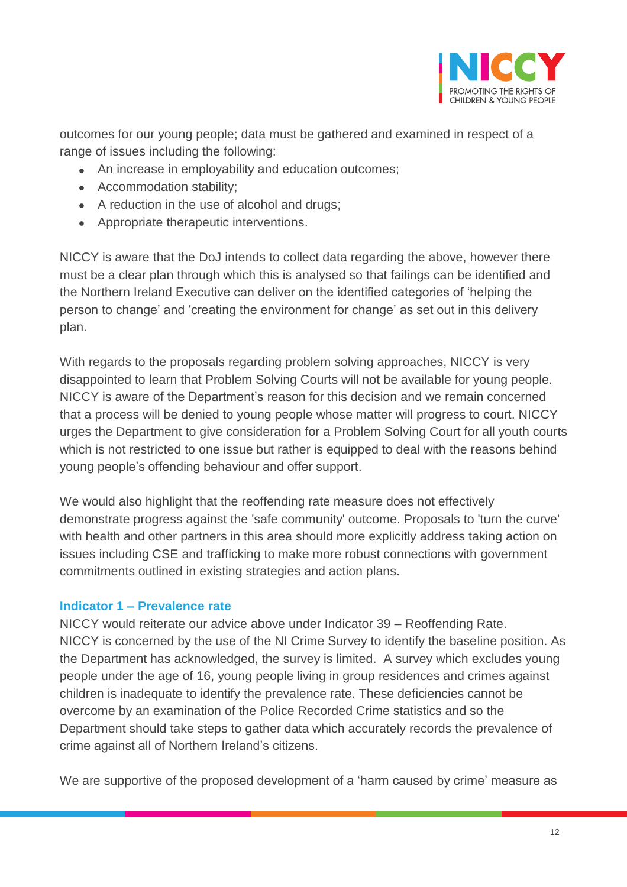

outcomes for our young people; data must be gathered and examined in respect of a range of issues including the following:

- An increase in employability and education outcomes;
- Accommodation stability;
- A reduction in the use of alcohol and drugs;
- Appropriate therapeutic interventions.

NICCY is aware that the DoJ intends to collect data regarding the above, however there must be a clear plan through which this is analysed so that failings can be identified and the Northern Ireland Executive can deliver on the identified categories of 'helping the person to change' and 'creating the environment for change' as set out in this delivery plan.

With regards to the proposals regarding problem solving approaches, NICCY is very disappointed to learn that Problem Solving Courts will not be available for young people. NICCY is aware of the Department's reason for this decision and we remain concerned that a process will be denied to young people whose matter will progress to court. NICCY urges the Department to give consideration for a Problem Solving Court for all youth courts which is not restricted to one issue but rather is equipped to deal with the reasons behind young people's offending behaviour and offer support.

We would also highlight that the reoffending rate measure does not effectively demonstrate progress against the 'safe community' outcome. Proposals to 'turn the curve' with health and other partners in this area should more explicitly address taking action on issues including CSE and trafficking to make more robust connections with government commitments outlined in existing strategies and action plans.

#### **Indicator 1 – Prevalence rate**

NICCY would reiterate our advice above under Indicator 39 – Reoffending Rate. NICCY is concerned by the use of the NI Crime Survey to identify the baseline position. As the Department has acknowledged, the survey is limited. A survey which excludes young people under the age of 16, young people living in group residences and crimes against children is inadequate to identify the prevalence rate. These deficiencies cannot be overcome by an examination of the Police Recorded Crime statistics and so the Department should take steps to gather data which accurately records the prevalence of crime against all of Northern Ireland's citizens.

We are supportive of the proposed development of a 'harm caused by crime' measure as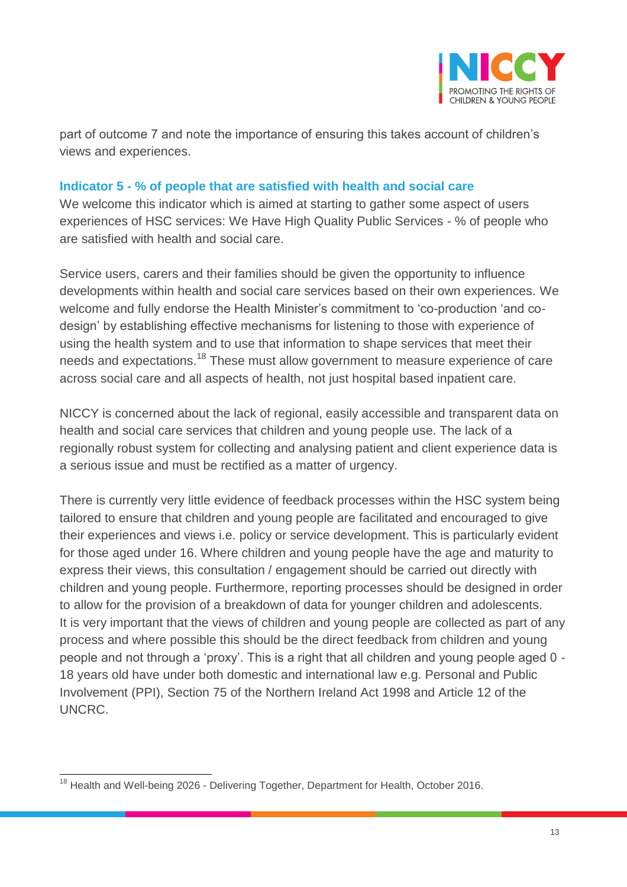

part of outcome 7 and note the importance of ensuring this takes account of children's views and experiences.

#### **Indicator 5 - % of people that are satisfied with health and social care**

We welcome this indicator which is aimed at starting to gather some aspect of users experiences of HSC services: We Have High Quality Public Services - % of people who are satisfied with health and social care.

Service users, carers and their families should be given the opportunity to influence developments within health and social care services based on their own experiences. We welcome and fully endorse the Health Minister's commitment to 'co-production 'and codesign' by establishing effective mechanisms for listening to those with experience of using the health system and to use that information to shape services that meet their needs and expectations.<sup>18</sup> These must allow government to measure experience of care across social care and all aspects of health, not just hospital based inpatient care.

NICCY is concerned about the lack of regional, easily accessible and transparent data on health and social care services that children and young people use. The lack of a regionally robust system for collecting and analysing patient and client experience data is a serious issue and must be rectified as a matter of urgency.

There is currently very little evidence of feedback processes within the HSC system being tailored to ensure that children and young people are facilitated and encouraged to give their experiences and views i.e. policy or service development. This is particularly evident for those aged under 16. Where children and young people have the age and maturity to express their views, this consultation / engagement should be carried out directly with children and young people. Furthermore, reporting processes should be designed in order to allow for the provision of a breakdown of data for younger children and adolescents. It is very important that the views of children and young people are collected as part of any process and where possible this should be the direct feedback from children and young people and not through a 'proxy'. This is a right that all children and young people aged 0 - 18 years old have under both domestic and international law e.g. Personal and Public Involvement (PPI), Section 75 of the Northern Ireland Act 1998 and Article 12 of the UNCRC.

 $\overline{\phantom{a}}$ <sup>18</sup> Health and Well-being 2026 - Delivering Together, Department for Health, October 2016.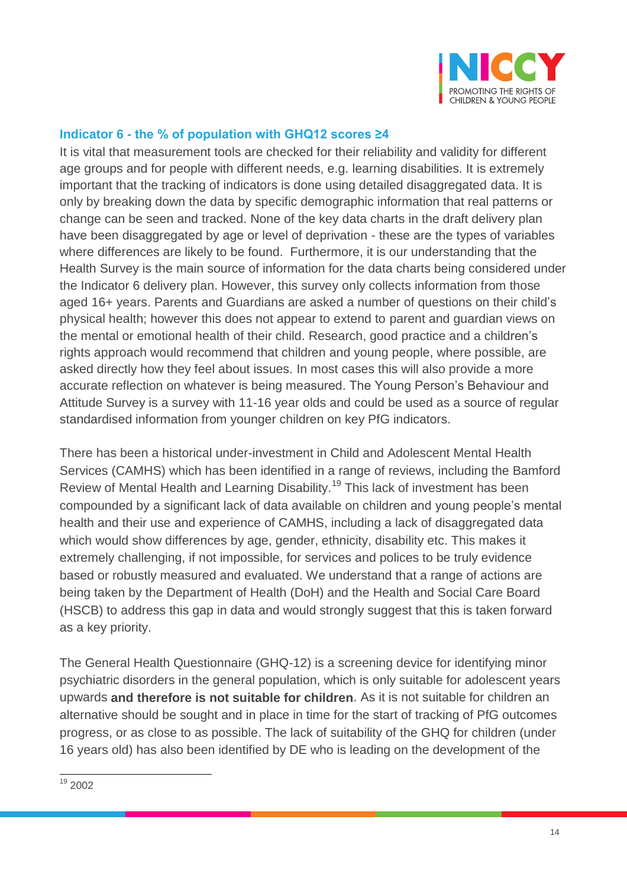

#### **Indicator 6 - the % of population with GHQ12 scores ≥4**

It is vital that measurement tools are checked for their reliability and validity for different age groups and for people with different needs, e.g. learning disabilities. It is extremely important that the tracking of indicators is done using detailed disaggregated data. It is only by breaking down the data by specific demographic information that real patterns or change can be seen and tracked. None of the key data charts in the draft delivery plan have been disaggregated by age or level of deprivation - these are the types of variables where differences are likely to be found. Furthermore, it is our understanding that the Health Survey is the main source of information for the data charts being considered under the Indicator 6 delivery plan. However, this survey only collects information from those aged 16+ years. Parents and Guardians are asked a number of questions on their child's physical health; however this does not appear to extend to parent and guardian views on the mental or emotional health of their child. Research, good practice and a children's rights approach would recommend that children and young people, where possible, are asked directly how they feel about issues. In most cases this will also provide a more accurate reflection on whatever is being measured. The Young Person's Behaviour and Attitude Survey is a survey with 11-16 year olds and could be used as a source of regular standardised information from younger children on key PfG indicators.

There has been a historical under-investment in Child and Adolescent Mental Health Services (CAMHS) which has been identified in a range of reviews, including the Bamford Review of Mental Health and Learning Disability.<sup>19</sup> This lack of investment has been compounded by a significant lack of data available on children and young people's mental health and their use and experience of CAMHS, including a lack of disaggregated data which would show differences by age, gender, ethnicity, disability etc. This makes it extremely challenging, if not impossible, for services and polices to be truly evidence based or robustly measured and evaluated. We understand that a range of actions are being taken by the Department of Health (DoH) and the Health and Social Care Board (HSCB) to address this gap in data and would strongly suggest that this is taken forward as a key priority.

The General Health Questionnaire (GHQ-12) is a screening device for identifying minor psychiatric disorders in the general population, which is only suitable for adolescent years upwards **and therefore is not suitable for children**. As it is not suitable for children an alternative should be sought and in place in time for the start of tracking of PfG outcomes progress, or as close to as possible. The lack of suitability of the GHQ for children (under 16 years old) has also been identified by DE who is leading on the development of the

 $\overline{\phantom{a}}$  $19$  2002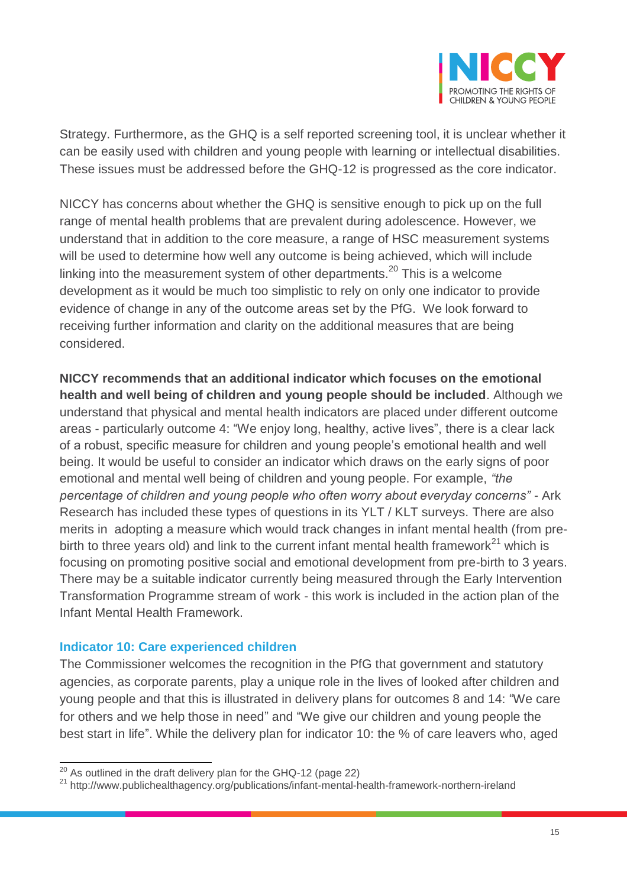

Strategy. Furthermore, as the GHQ is a self reported screening tool, it is unclear whether it can be easily used with children and young people with learning or intellectual disabilities. These issues must be addressed before the GHQ-12 is progressed as the core indicator.

NICCY has concerns about whether the GHQ is sensitive enough to pick up on the full range of mental health problems that are prevalent during adolescence. However, we understand that in addition to the core measure, a range of HSC measurement systems will be used to determine how well any outcome is being achieved, which will include linking into the measurement system of other departments.<sup>20</sup> This is a welcome development as it would be much too simplistic to rely on only one indicator to provide evidence of change in any of the outcome areas set by the PfG. We look forward to receiving further information and clarity on the additional measures that are being considered.

**NICCY recommends that an additional indicator which focuses on the emotional health and well being of children and young people should be included**. Although we understand that physical and mental health indicators are placed under different outcome areas - particularly outcome 4: "We enjoy long, healthy, active lives", there is a clear lack of a robust, specific measure for children and young people's emotional health and well being. It would be useful to consider an indicator which draws on the early signs of poor emotional and mental well being of children and young people. For example, *"the percentage of children and young people who often worry about everyday concerns"* - Ark Research has included these types of questions in its YLT / KLT surveys. There are also merits in adopting a measure which would track changes in infant mental health (from prebirth to three years old) and link to the current infant mental health framework<sup>21</sup> which is focusing on promoting positive social and emotional development from pre-birth to 3 years. There may be a suitable indicator currently being measured through the Early Intervention Transformation Programme stream of work - this work is included in the action plan of the Infant Mental Health Framework.

#### **Indicator 10: Care experienced children**

 $\overline{a}$ 

The Commissioner welcomes the recognition in the PfG that government and statutory agencies, as corporate parents, play a unique role in the lives of looked after children and young people and that this is illustrated in delivery plans for outcomes 8 and 14: "We care for others and we help those in need" and "We give our children and young people the best start in life". While the delivery plan for indicator 10: the % of care leavers who, aged

 $^{20}$  As outlined in the draft delivery plan for the GHQ-12 (page 22)

<sup>&</sup>lt;sup>21</sup> http://www.publichealthagency.org/publications/infant-mental-health-framework-northern-ireland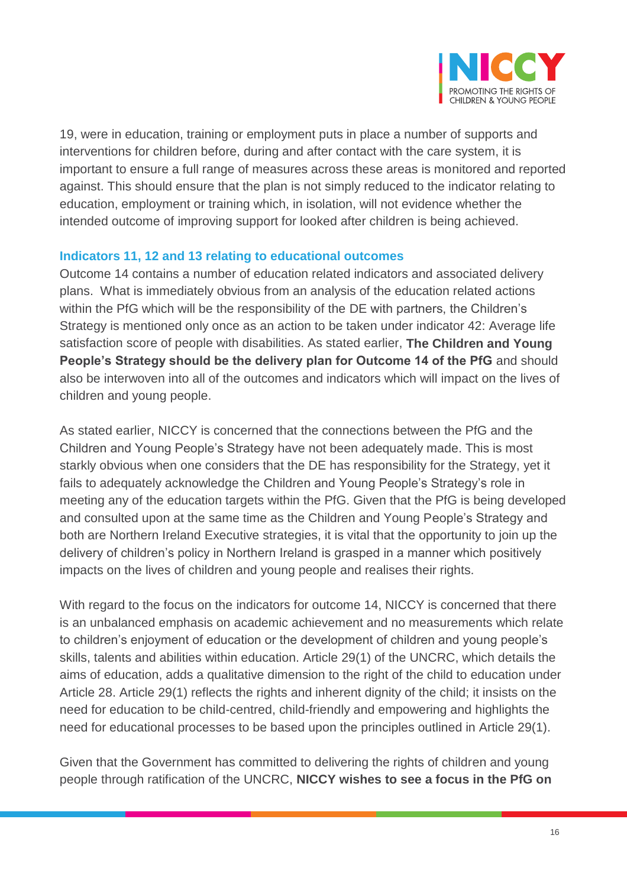

19, were in education, training or employment puts in place a number of supports and interventions for children before, during and after contact with the care system, it is important to ensure a full range of measures across these areas is monitored and reported against. This should ensure that the plan is not simply reduced to the indicator relating to education, employment or training which, in isolation, will not evidence whether the intended outcome of improving support for looked after children is being achieved.

#### **Indicators 11, 12 and 13 relating to educational outcomes**

Outcome 14 contains a number of education related indicators and associated delivery plans. What is immediately obvious from an analysis of the education related actions within the PfG which will be the responsibility of the DE with partners, the Children's Strategy is mentioned only once as an action to be taken under indicator 42: Average life satisfaction score of people with disabilities. As stated earlier, **The Children and Young People's Strategy should be the delivery plan for Outcome 14 of the PfG** and should also be interwoven into all of the outcomes and indicators which will impact on the lives of children and young people.

As stated earlier, NICCY is concerned that the connections between the PfG and the Children and Young People's Strategy have not been adequately made. This is most starkly obvious when one considers that the DE has responsibility for the Strategy, yet it fails to adequately acknowledge the Children and Young People's Strategy's role in meeting any of the education targets within the PfG. Given that the PfG is being developed and consulted upon at the same time as the Children and Young People's Strategy and both are Northern Ireland Executive strategies, it is vital that the opportunity to join up the delivery of children's policy in Northern Ireland is grasped in a manner which positively impacts on the lives of children and young people and realises their rights.

With regard to the focus on the indicators for outcome 14, NICCY is concerned that there is an unbalanced emphasis on academic achievement and no measurements which relate to children's enjoyment of education or the development of children and young people's skills, talents and abilities within education. Article 29(1) of the UNCRC, which details the aims of education, adds a qualitative dimension to the right of the child to education under Article 28. Article 29(1) reflects the rights and inherent dignity of the child; it insists on the need for education to be child-centred, child-friendly and empowering and highlights the need for educational processes to be based upon the principles outlined in Article 29(1).

Given that the Government has committed to delivering the rights of children and young people through ratification of the UNCRC, **NICCY wishes to see a focus in the PfG on**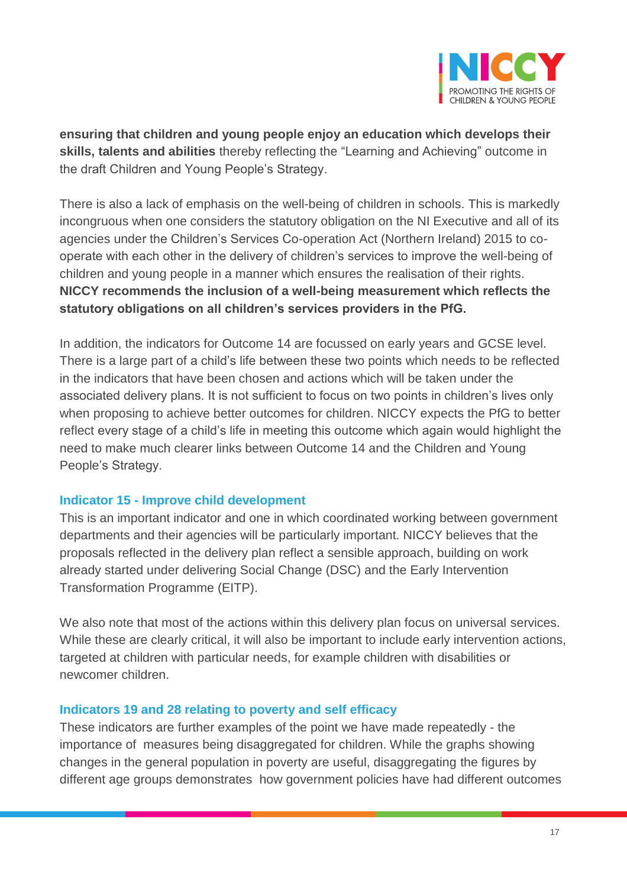

**ensuring that children and young people enjoy an education which develops their skills, talents and abilities** thereby reflecting the "Learning and Achieving" outcome in the draft Children and Young People's Strategy.

There is also a lack of emphasis on the well-being of children in schools. This is markedly incongruous when one considers the statutory obligation on the NI Executive and all of its agencies under the Children's Services Co-operation Act (Northern Ireland) 2015 to cooperate with each other in the delivery of children's services to improve the well-being of children and young people in a manner which ensures the realisation of their rights. **NICCY recommends the inclusion of a well-being measurement which reflects the statutory obligations on all children's services providers in the PfG.**

In addition, the indicators for Outcome 14 are focussed on early years and GCSE level. There is a large part of a child's life between these two points which needs to be reflected in the indicators that have been chosen and actions which will be taken under the associated delivery plans. It is not sufficient to focus on two points in children's lives only when proposing to achieve better outcomes for children. NICCY expects the PfG to better reflect every stage of a child's life in meeting this outcome which again would highlight the need to make much clearer links between Outcome 14 and the Children and Young People's Strategy.

#### **Indicator 15 - Improve child development**

This is an important indicator and one in which coordinated working between government departments and their agencies will be particularly important. NICCY believes that the proposals reflected in the delivery plan reflect a sensible approach, building on work already started under delivering Social Change (DSC) and the Early Intervention Transformation Programme (EITP).

We also note that most of the actions within this delivery plan focus on universal services. While these are clearly critical, it will also be important to include early intervention actions, targeted at children with particular needs, for example children with disabilities or newcomer children.

#### **Indicators 19 and 28 relating to poverty and self efficacy**

These indicators are further examples of the point we have made repeatedly - the importance of measures being disaggregated for children. While the graphs showing changes in the general population in poverty are useful, disaggregating the figures by different age groups demonstrates how government policies have had different outcomes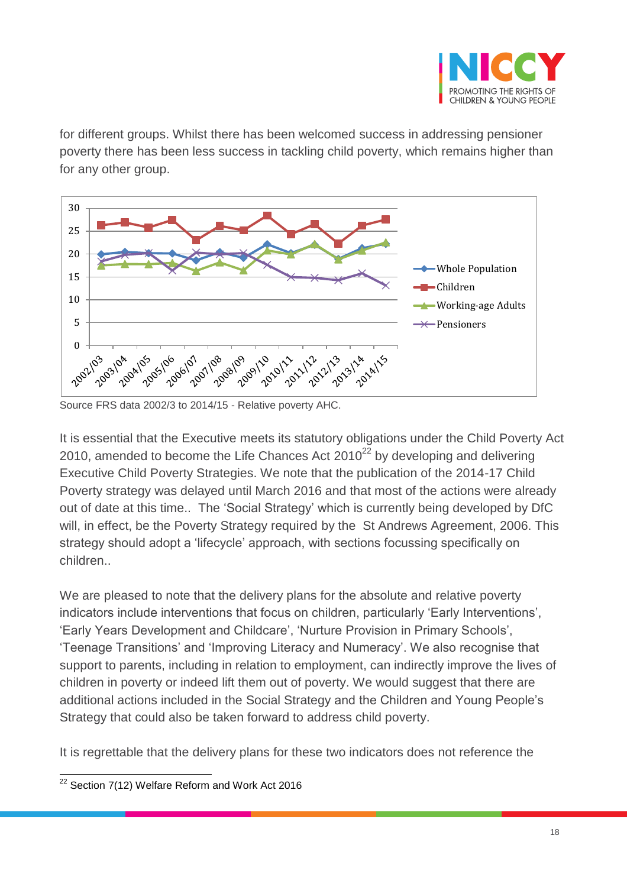

for different groups. Whilst there has been welcomed success in addressing pensioner poverty there has been less success in tackling child poverty, which remains higher than for any other group.



Source FRS data 2002/3 to 2014/15 - Relative poverty AHC.

It is essential that the Executive meets its statutory obligations under the Child Poverty Act 2010, amended to become the Life Chances Act  $2010^{22}$  by developing and delivering Executive Child Poverty Strategies. We note that the publication of the 2014-17 Child Poverty strategy was delayed until March 2016 and that most of the actions were already out of date at this time.. The 'Social Strategy' which is currently being developed by DfC will, in effect, be the Poverty Strategy required by the St Andrews Agreement, 2006. This strategy should adopt a 'lifecycle' approach, with sections focussing specifically on children..

We are pleased to note that the delivery plans for the absolute and relative poverty indicators include interventions that focus on children, particularly 'Early Interventions', 'Early Years Development and Childcare', 'Nurture Provision in Primary Schools', 'Teenage Transitions' and 'Improving Literacy and Numeracy'. We also recognise that support to parents, including in relation to employment, can indirectly improve the lives of children in poverty or indeed lift them out of poverty. We would suggest that there are additional actions included in the Social Strategy and the Children and Young People's Strategy that could also be taken forward to address child poverty.

It is regrettable that the delivery plans for these two indicators does not reference the

 $\overline{\phantom{a}}$  $^{22}$  Section 7(12) Welfare Reform and Work Act 2016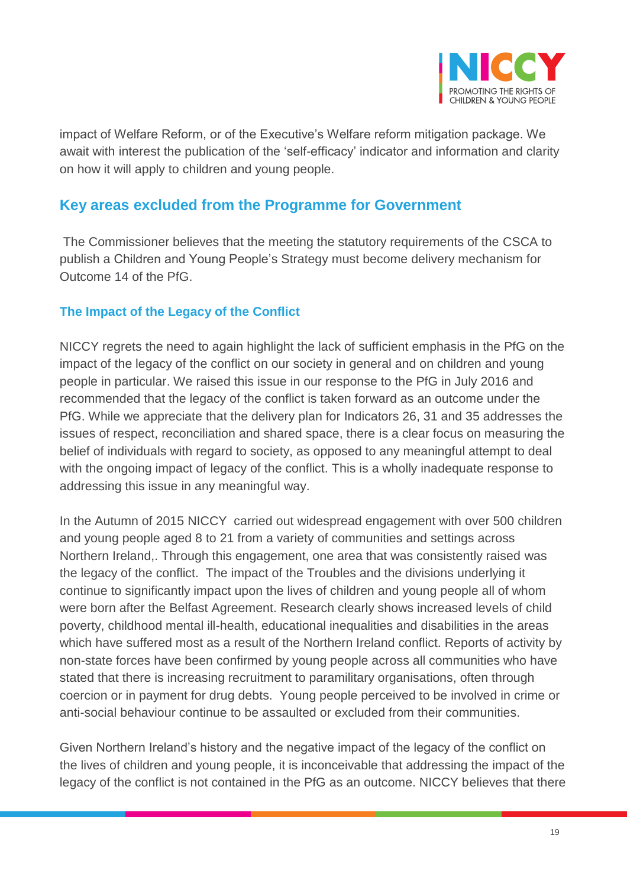

impact of Welfare Reform, or of the Executive's Welfare reform mitigation package. We await with interest the publication of the 'self-efficacy' indicator and information and clarity on how it will apply to children and young people.

## **Key areas excluded from the Programme for Government**

The Commissioner believes that the meeting the statutory requirements of the CSCA to publish a Children and Young People's Strategy must become delivery mechanism for Outcome 14 of the PfG.

#### **The Impact of the Legacy of the Conflict**

NICCY regrets the need to again highlight the lack of sufficient emphasis in the PfG on the impact of the legacy of the conflict on our society in general and on children and young people in particular. We raised this issue in our response to the PfG in July 2016 and recommended that the legacy of the conflict is taken forward as an outcome under the PfG. While we appreciate that the delivery plan for Indicators 26, 31 and 35 addresses the issues of respect, reconciliation and shared space, there is a clear focus on measuring the belief of individuals with regard to society, as opposed to any meaningful attempt to deal with the ongoing impact of legacy of the conflict. This is a wholly inadequate response to addressing this issue in any meaningful way.

In the Autumn of 2015 NICCY carried out widespread engagement with over 500 children and young people aged 8 to 21 from a variety of communities and settings across Northern Ireland,. Through this engagement, one area that was consistently raised was the legacy of the conflict. The impact of the Troubles and the divisions underlying it continue to significantly impact upon the lives of children and young people all of whom were born after the Belfast Agreement. Research clearly shows increased levels of child poverty, childhood mental ill-health, educational inequalities and disabilities in the areas which have suffered most as a result of the Northern Ireland conflict. Reports of activity by non-state forces have been confirmed by young people across all communities who have stated that there is increasing recruitment to paramilitary organisations, often through coercion or in payment for drug debts. Young people perceived to be involved in crime or anti-social behaviour continue to be assaulted or excluded from their communities.

Given Northern Ireland's history and the negative impact of the legacy of the conflict on the lives of children and young people, it is inconceivable that addressing the impact of the legacy of the conflict is not contained in the PfG as an outcome. NICCY believes that there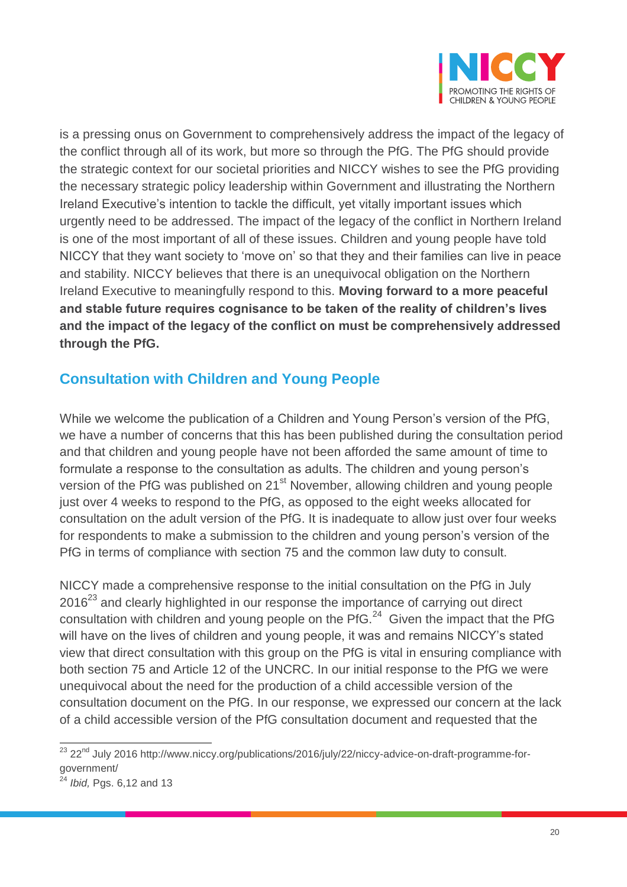

is a pressing onus on Government to comprehensively address the impact of the legacy of the conflict through all of its work, but more so through the PfG. The PfG should provide the strategic context for our societal priorities and NICCY wishes to see the PfG providing the necessary strategic policy leadership within Government and illustrating the Northern Ireland Executive's intention to tackle the difficult, yet vitally important issues which urgently need to be addressed. The impact of the legacy of the conflict in Northern Ireland is one of the most important of all of these issues. Children and young people have told NICCY that they want society to 'move on' so that they and their families can live in peace and stability. NICCY believes that there is an unequivocal obligation on the Northern Ireland Executive to meaningfully respond to this. **Moving forward to a more peaceful and stable future requires cognisance to be taken of the reality of children's lives and the impact of the legacy of the conflict on must be comprehensively addressed through the PfG.**

# **Consultation with Children and Young People**

While we welcome the publication of a Children and Young Person's version of the PfG, we have a number of concerns that this has been published during the consultation period and that children and young people have not been afforded the same amount of time to formulate a response to the consultation as adults. The children and young person's version of the PfG was published on 21<sup>st</sup> November, allowing children and young people just over 4 weeks to respond to the PfG, as opposed to the eight weeks allocated for consultation on the adult version of the PfG. It is inadequate to allow just over four weeks for respondents to make a submission to the children and young person's version of the PfG in terms of compliance with section 75 and the common law duty to consult.

NICCY made a comprehensive response to the initial consultation on the PfG in July  $2016<sup>23</sup>$  and clearly highlighted in our response the importance of carrying out direct consultation with children and young people on the PfG. $^{24}$  Given the impact that the PfG will have on the lives of children and young people, it was and remains NICCY's stated view that direct consultation with this group on the PfG is vital in ensuring compliance with both section 75 and Article 12 of the UNCRC. In our initial response to the PfG we were unequivocal about the need for the production of a child accessible version of the consultation document on the PfG. In our response, we expressed our concern at the lack of a child accessible version of the PfG consultation document and requested that the

 $\overline{a}$ 

<sup>&</sup>lt;sup>23</sup> 22<sup>nd</sup> July 2016 http://www.niccy.org/publications/2016/july/22/niccy-advice-on-draft-programme-forgovernment/

<sup>24</sup> *Ibid,* Pgs. 6,12 and 13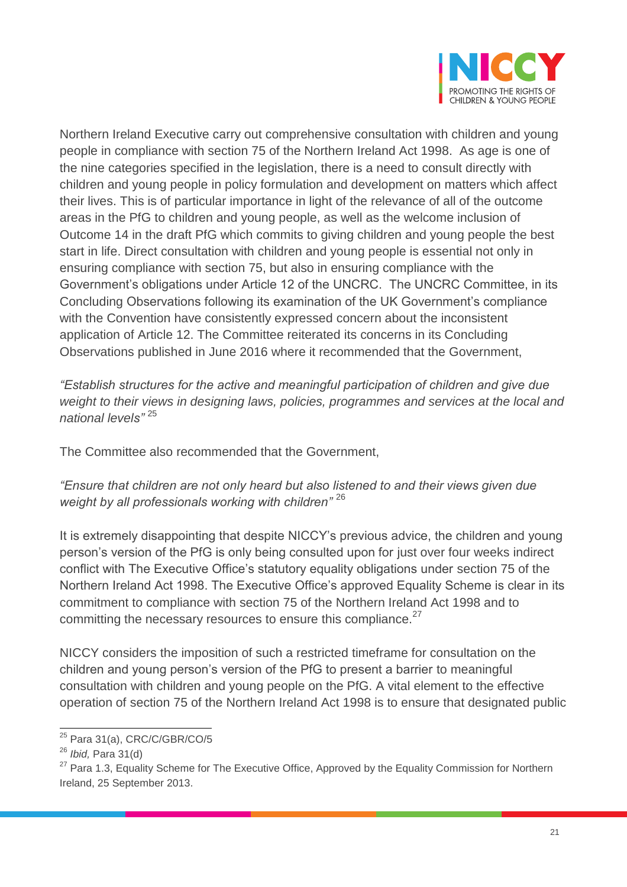

Northern Ireland Executive carry out comprehensive consultation with children and young people in compliance with section 75 of the Northern Ireland Act 1998. As age is one of the nine categories specified in the legislation, there is a need to consult directly with children and young people in policy formulation and development on matters which affect their lives. This is of particular importance in light of the relevance of all of the outcome areas in the PfG to children and young people, as well as the welcome inclusion of Outcome 14 in the draft PfG which commits to giving children and young people the best start in life. Direct consultation with children and young people is essential not only in ensuring compliance with section 75, but also in ensuring compliance with the Government's obligations under Article 12 of the UNCRC. The UNCRC Committee, in its Concluding Observations following its examination of the UK Government's compliance with the Convention have consistently expressed concern about the inconsistent application of Article 12. The Committee reiterated its concerns in its Concluding Observations published in June 2016 where it recommended that the Government,

*"Establish structures for the active and meaningful participation of children and give due weight to their views in designing laws, policies, programmes and services at the local and national levels"* <sup>25</sup>

The Committee also recommended that the Government,

*"Ensure that children are not only heard but also listened to and their views given due weight by all professionals working with children"* <sup>26</sup>

It is extremely disappointing that despite NICCY's previous advice, the children and young person's version of the PfG is only being consulted upon for just over four weeks indirect conflict with The Executive Office's statutory equality obligations under section 75 of the Northern Ireland Act 1998. The Executive Office's approved Equality Scheme is clear in its commitment to compliance with section 75 of the Northern Ireland Act 1998 and to committing the necessary resources to ensure this compliance.<sup>27</sup>

NICCY considers the imposition of such a restricted timeframe for consultation on the children and young person's version of the PfG to present a barrier to meaningful consultation with children and young people on the PfG. A vital element to the effective operation of section 75 of the Northern Ireland Act 1998 is to ensure that designated public

 $\overline{a}$ 

<sup>&</sup>lt;sup>25</sup> Para 31(a), CRC/C/GBR/CO/5

<sup>26</sup> *Ibid,* Para 31(d)

<sup>&</sup>lt;sup>27</sup> Para 1.3, Equality Scheme for The Executive Office, Approved by the Equality Commission for Northern Ireland, 25 September 2013.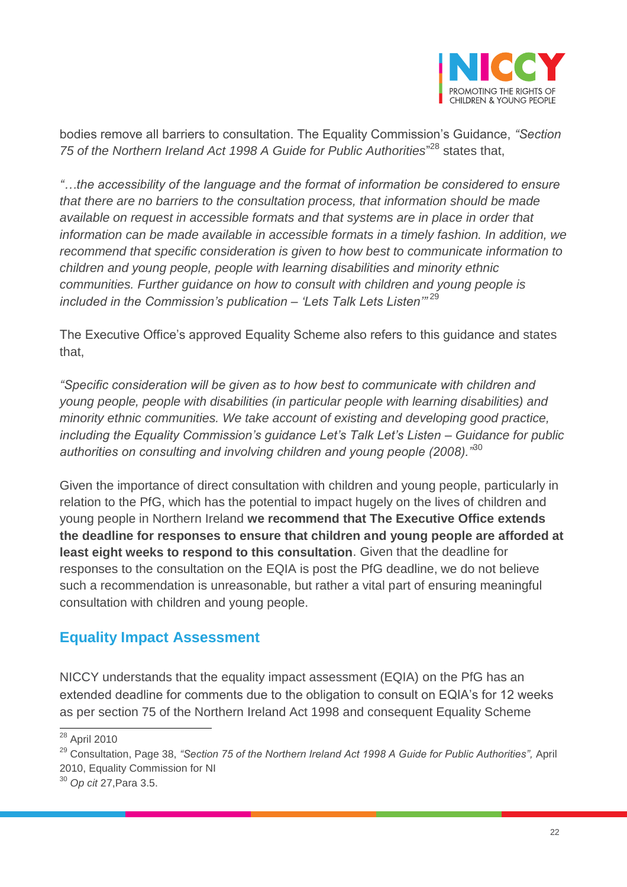

bodies remove all barriers to consultation. The Equality Commission's Guidance, *"Section*  75 of the Northern Ireland Act 1998 A Guide for Public Authorities<sup>"28</sup> states that,

*"…the accessibility of the language and the format of information be considered to ensure that there are no barriers to the consultation process, that information should be made available on request in accessible formats and that systems are in place in order that information can be made available in accessible formats in a timely fashion. In addition, we recommend that specific consideration is given to how best to communicate information to children and young people, people with learning disabilities and minority ethnic communities. Further guidance on how to consult with children and young people is included in the Commission's publication – 'Lets Talk Lets Listen'"* <sup>29</sup>

The Executive Office's approved Equality Scheme also refers to this guidance and states that,

*"Specific consideration will be given as to how best to communicate with children and young people, people with disabilities (in particular people with learning disabilities) and minority ethnic communities. We take account of existing and developing good practice, including the Equality Commission's guidance Let's Talk Let's Listen – Guidance for public authorities on consulting and involving children and young people (2008)."*<sup>30</sup>

Given the importance of direct consultation with children and young people, particularly in relation to the PfG, which has the potential to impact hugely on the lives of children and young people in Northern Ireland **we recommend that The Executive Office extends the deadline for responses to ensure that children and young people are afforded at least eight weeks to respond to this consultation**. Given that the deadline for responses to the consultation on the EQIA is post the PfG deadline, we do not believe such a recommendation is unreasonable, but rather a vital part of ensuring meaningful consultation with children and young people.

### **Equality Impact Assessment**

NICCY understands that the equality impact assessment (EQIA) on the PfG has an extended deadline for comments due to the obligation to consult on EQIA's for 12 weeks as per section 75 of the Northern Ireland Act 1998 and consequent Equality Scheme

 $\overline{a}$ <sup>28</sup> April 2010

<sup>29</sup> Consultation, Page 38, *"Section 75 of the Northern Ireland Act 1998 A Guide for Public Authorities",* April 2010, Equality Commission for NI

<sup>30</sup> *Op cit* 27,Para 3.5.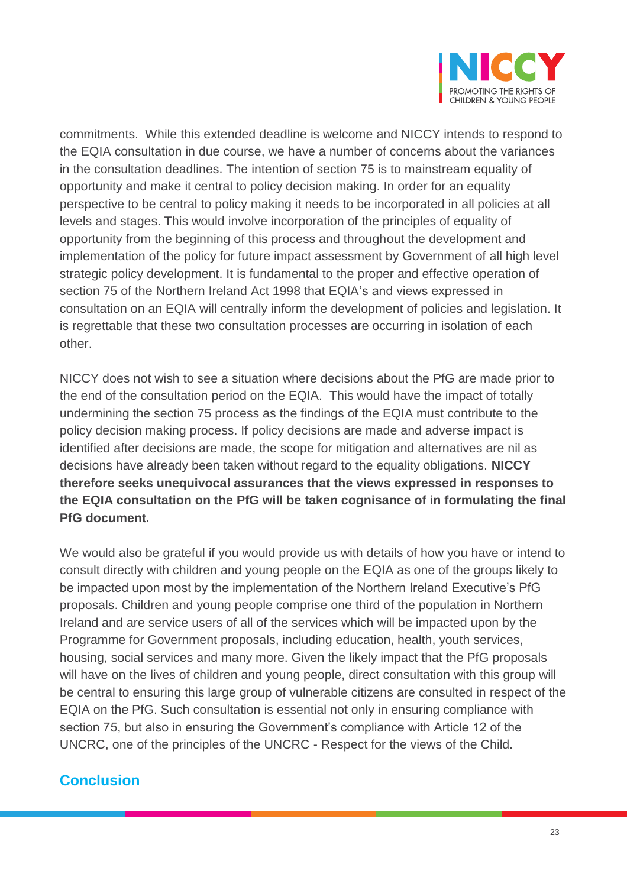

commitments. While this extended deadline is welcome and NICCY intends to respond to the EQIA consultation in due course, we have a number of concerns about the variances in the consultation deadlines. The intention of section 75 is to mainstream equality of opportunity and make it central to policy decision making. In order for an equality perspective to be central to policy making it needs to be incorporated in all policies at all levels and stages. This would involve incorporation of the principles of equality of opportunity from the beginning of this process and throughout the development and implementation of the policy for future impact assessment by Government of all high level strategic policy development. It is fundamental to the proper and effective operation of section 75 of the Northern Ireland Act 1998 that EQIA's and views expressed in consultation on an EQIA will centrally inform the development of policies and legislation. It is regrettable that these two consultation processes are occurring in isolation of each other.

NICCY does not wish to see a situation where decisions about the PfG are made prior to the end of the consultation period on the EQIA. This would have the impact of totally undermining the section 75 process as the findings of the EQIA must contribute to the policy decision making process. If policy decisions are made and adverse impact is identified after decisions are made, the scope for mitigation and alternatives are nil as decisions have already been taken without regard to the equality obligations. **NICCY therefore seeks unequivocal assurances that the views expressed in responses to the EQIA consultation on the PfG will be taken cognisance of in formulating the final PfG document**.

We would also be grateful if you would provide us with details of how you have or intend to consult directly with children and young people on the EQIA as one of the groups likely to be impacted upon most by the implementation of the Northern Ireland Executive's PfG proposals. Children and young people comprise one third of the population in Northern Ireland and are service users of all of the services which will be impacted upon by the Programme for Government proposals, including education, health, youth services, housing, social services and many more. Given the likely impact that the PfG proposals will have on the lives of children and young people, direct consultation with this group will be central to ensuring this large group of vulnerable citizens are consulted in respect of the EQIA on the PfG. Such consultation is essential not only in ensuring compliance with section 75, but also in ensuring the Government's compliance with Article 12 of the UNCRC, one of the principles of the UNCRC - Respect for the views of the Child.

### **Conclusion**